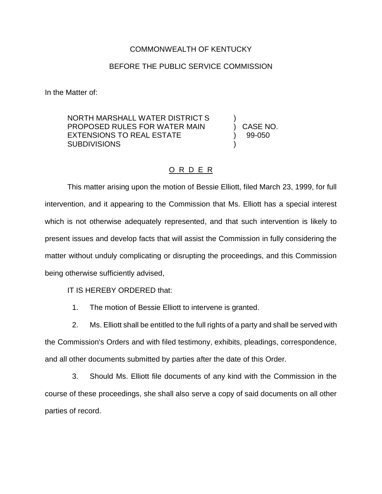## COMMONWEALTH OF KENTUCKY

## BEFORE THE PUBLIC SERVICE COMMISSION

In the Matter of:

NORTH MARSHALL WATER DISTRICT S ) PROPOSED RULES FOR WATER MAIN ) CASE NO. EXTENSIONS TO REAL ESTATE (39-050) **SUBDIVISIONS** 

## O R D E R

This matter arising upon the motion of Bessie Elliott, filed March 23, 1999, for full intervention, and it appearing to the Commission that Ms. Elliott has a special interest which is not otherwise adequately represented, and that such intervention is likely to present issues and develop facts that will assist the Commission in fully considering the matter without unduly complicating or disrupting the proceedings, and this Commission being otherwise sufficiently advised,

IT IS HEREBY ORDERED that:

1. The motion of Bessie Elliott to intervene is granted.

2. Ms. Elliott shall be entitled to the full rights of a party and shall be served with

the Commission's Orders and with filed testimony, exhibits, pleadings, correspondence, and all other documents submitted by parties after the date of this Order.

3. Should Ms. Elliott file documents of any kind with the Commission in the course of these proceedings, she shall also serve a copy of said documents on all other parties of record.